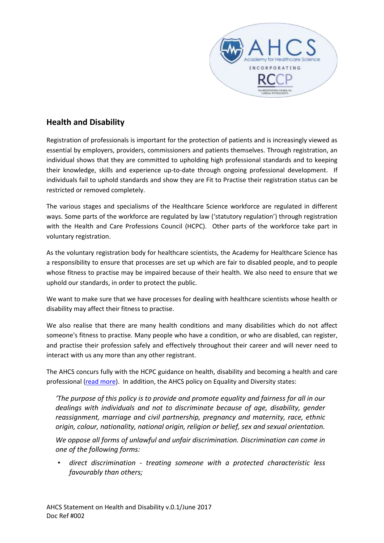

## **Health and Disability**

Registration of professionals is important for the protection of patients and is increasingly viewed as essential by employers, providers, commissioners and patients themselves. Through registration, an individual shows that they are committed to upholding high professional standards and to keeping their knowledge, skills and experience up-to-date through ongoing professional development. If individuals fail to uphold standards and show they are Fit to Practise their registration status can be restricted or removed completely.

The various stages and specialisms of the Healthcare Science workforce are regulated in different ways. Some parts of the workforce are regulated by law ('statutory regulation') through registration with the Health and Care Professions Council (HCPC). Other parts of the workforce take part in voluntary registration.

As the voluntary registration body for healthcare scientists, the Academy for Healthcare Science has a responsibility to ensure that processes are set up which are fair to disabled people, and to people whose fitness to practise may be impaired because of their health. We also need to ensure that we uphold our standards, in order to protect the public.

We want to make sure that we have processes for dealing with healthcare scientists whose health or disability may affect their fitness to practise.

We also realise that there are many health conditions and many disabilities which do not affect someone's fitness to practise. Many people who have a condition, or who are disabled, can register, and practise their profession safely and effectively throughout their career and will never need to interact with us any more than any other registrant.

The AHCS concurs fully with the HCPC guidance on health, disability and becoming a health and care professional [\(read more\)](http://www.hcpc-uk.org/publications/brochures/index.asp?id=1111). In addition, the AHCS policy on Equality and Diversity states:

*'The purpose of this policy is to provide and promote equality and fairness for all in our dealings with individuals and not to discriminate because of age, disability, gender reassignment, marriage and civil partnership, pregnancy and maternity, race, ethnic origin, colour, nationality, national origin, religion or belief, sex and sexual orientation.* 

*We oppose all forms of unlawful and unfair discrimination. Discrimination can come in one of the following forms:* 

• *direct discrimination - treating someone with a protected characteristic less favourably than others;*